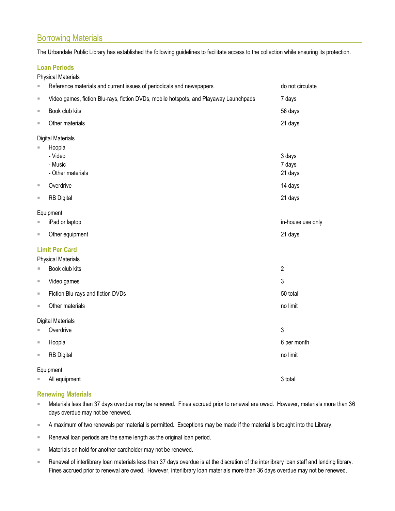# Borrowing Materials

The Urbandale Public Library has established the following guidelines to facilitate access to the collection while ensuring its protection.

# **Loan Periods**

| $\equiv$                                                                                                           | Reference materials and current issues of periodicals and newspapers                  | do not circulate             |
|--------------------------------------------------------------------------------------------------------------------|---------------------------------------------------------------------------------------|------------------------------|
| ш                                                                                                                  | Video games, fiction Blu-rays, fiction DVDs, mobile hotspots, and Playaway Launchpads | 7 days                       |
| ш                                                                                                                  | Book club kits                                                                        | 56 days                      |
| $\blacksquare$                                                                                                     | Other materials                                                                       | 21 days                      |
|                                                                                                                    | <b>Digital Materials</b><br>Hoopla<br>- Video<br>- Music<br>- Other materials         | 3 days<br>7 days<br>21 days  |
| $\blacksquare$                                                                                                     | Overdrive                                                                             | 14 days                      |
| ш                                                                                                                  | <b>RB Digital</b>                                                                     | 21 days                      |
| $\blacksquare$<br>ш                                                                                                | Equipment<br>iPad or laptop<br>Other equipment                                        | in-house use only<br>21 days |
| <b>Limit Per Card</b><br><b>Physical Materials</b><br>$\overline{2}$<br>Book club kits<br>$\overline{\phantom{a}}$ |                                                                                       |                              |
| $\blacksquare$                                                                                                     | Video games                                                                           | 3                            |
| ш                                                                                                                  | Fiction Blu-rays and fiction DVDs                                                     | 50 total                     |
| ш                                                                                                                  | Other materials                                                                       | no limit                     |
| <b>Digital Materials</b><br>Overdrive<br>3<br>×                                                                    |                                                                                       |                              |
| J.                                                                                                                 | Hoopla                                                                                | 6 per month                  |
| ш                                                                                                                  | <b>RB Digital</b>                                                                     | no limit                     |
|                                                                                                                    | Equipment<br>All equipment                                                            | 3 total                      |

# **Renewing Materials**

- Materials less than 37 days overdue may be renewed. Fines accrued prior to renewal are owed. However, materials more than 36 days overdue may not be renewed.
- A maximum of two renewals per material is permitted. Exceptions may be made if the material is brought into the Library.
- Renewal loan periods are the same length as the original loan period.
- Materials on hold for another cardholder may not be renewed.
- Renewal of interlibrary loan materials less than 37 days overdue is at the discretion of the interlibrary loan staff and lending library. Fines accrued prior to renewal are owed. However, interlibrary loan materials more than 36 days overdue may not be renewed.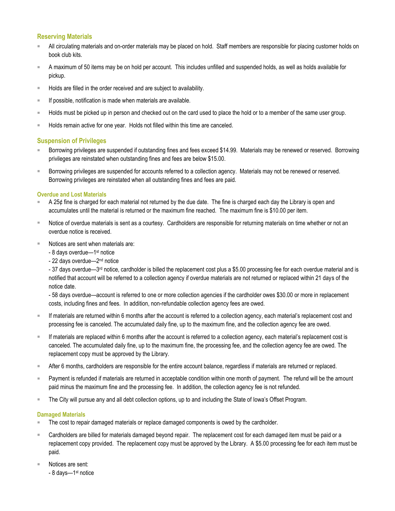## **Reserving Materials**

- All circulating materials and on-order materials may be placed on hold. Staff members are responsible for placing customer holds on book club kits.
- A maximum of 50 items may be on hold per account. This includes unfilled and suspended holds, as well as holds available for pickup.
- Holds are filled in the order received and are subject to availability.
- If possible, notification is made when materials are available.
- Holds must be picked up in person and checked out on the card used to place the hold or to a member of the same user group.
- Holds remain active for one year. Holds not filled within this time are canceled.

## **Suspension of Privileges**

- Borrowing privileges are suspended if outstanding fines and fees exceed \$14.99. Materials may be renewed or reserved. Borrowing privileges are reinstated when outstanding fines and fees are below \$15.00.
- Borrowing privileges are suspended for accounts referred to a collection agency. Materials may not be renewed or reserved. Borrowing privileges are reinstated when all outstanding fines and fees are paid.

#### **Overdue and Lost Materials**

- A 25¢ fine is charged for each material not returned by the due date. The fine is charged each day the Library is open and accumulates until the material is returned or the maximum fine reached. The maximum fine is \$10.00 per item.
- Notice of overdue materials is sent as a courtesy. Cardholders are responsible for returning materials on time whether or not an overdue notice is received.
- Notices are sent when materials are:
	- 8 days overdue—1<sup>st</sup> notice
	- 22 days overdue—2<sup>nd</sup> notice

- 37 days overdue—3<sup>rd</sup> notice, cardholder is billed the replacement cost plus a \$5.00 processing fee for each overdue material and is notified that account will be referred to a collection agency if overdue materials are not returned or replaced within 21 days of the notice date.

- 58 days overdue—account is referred to one or more collection agencies if the cardholder owes \$30.00 or more in replacement costs, including fines and fees. In addition, non-refundable collection agency fees are owed.

- If materials are returned within 6 months after the account is referred to a collection agency, each material's replacement cost and processing fee is canceled. The accumulated daily fine, up to the maximum fine, and the collection agency fee are owed.
- If materials are replaced within 6 months after the account is referred to a collection agency, each material's replacement cost is canceled. The accumulated daily fine, up to the maximum fine, the processing fee, and the collection agency fee are owed. The replacement copy must be approved by the Library.
- After 6 months, cardholders are responsible for the entire account balance, regardless if materials are returned or replaced.
- Payment is refunded if materials are returned in acceptable condition within one month of payment. The refund will be the amount paid minus the maximum fine and the processing fee. In addition, the collection agency fee is not refunded.
- The City will pursue any and all debt collection options, up to and including the State of Iowa's Offset Program.

#### **Damaged Materials**

- The cost to repair damaged materials or replace damaged components is owed by the cardholder.
- Cardholders are billed for materials damaged beyond repair. The replacement cost for each damaged item must be paid or a replacement copy provided. The replacement copy must be approved by the Library. A \$5.00 processing fee for each item must be paid.
- Notices are sent:

- 8 days—1<sup>st</sup> notice